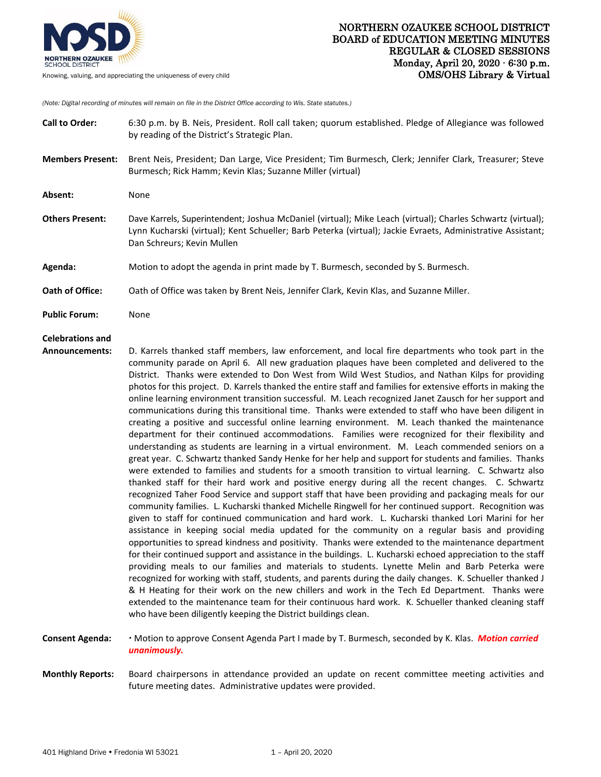

*(Note: Digital recording of minutes will remain on file in the District Office according to Wis. State statutes.)*

| <b>Call to Order:</b>                            | 6:30 p.m. by B. Neis, President. Roll call taken; quorum established. Pledge of Allegiance was followed<br>by reading of the District's Strategic Plan.                                                                                                                                                                                                                                                                                                                                                                                                                                                                                                                                                                                                                                                                                                                                                                                                                                                                                                                                                                                                                                                                                                                                                                                                                                                                                                                                                                                                                                                                                                                                                                                                                                                                                                                                                                                                                                                                                                                                                                                                                                                                                                                                                                                                                                                                     |
|--------------------------------------------------|-----------------------------------------------------------------------------------------------------------------------------------------------------------------------------------------------------------------------------------------------------------------------------------------------------------------------------------------------------------------------------------------------------------------------------------------------------------------------------------------------------------------------------------------------------------------------------------------------------------------------------------------------------------------------------------------------------------------------------------------------------------------------------------------------------------------------------------------------------------------------------------------------------------------------------------------------------------------------------------------------------------------------------------------------------------------------------------------------------------------------------------------------------------------------------------------------------------------------------------------------------------------------------------------------------------------------------------------------------------------------------------------------------------------------------------------------------------------------------------------------------------------------------------------------------------------------------------------------------------------------------------------------------------------------------------------------------------------------------------------------------------------------------------------------------------------------------------------------------------------------------------------------------------------------------------------------------------------------------------------------------------------------------------------------------------------------------------------------------------------------------------------------------------------------------------------------------------------------------------------------------------------------------------------------------------------------------------------------------------------------------------------------------------------------------|
| <b>Members Present:</b>                          | Brent Neis, President; Dan Large, Vice President; Tim Burmesch, Clerk; Jennifer Clark, Treasurer; Steve<br>Burmesch; Rick Hamm; Kevin Klas; Suzanne Miller (virtual)                                                                                                                                                                                                                                                                                                                                                                                                                                                                                                                                                                                                                                                                                                                                                                                                                                                                                                                                                                                                                                                                                                                                                                                                                                                                                                                                                                                                                                                                                                                                                                                                                                                                                                                                                                                                                                                                                                                                                                                                                                                                                                                                                                                                                                                        |
| Absent:                                          | None                                                                                                                                                                                                                                                                                                                                                                                                                                                                                                                                                                                                                                                                                                                                                                                                                                                                                                                                                                                                                                                                                                                                                                                                                                                                                                                                                                                                                                                                                                                                                                                                                                                                                                                                                                                                                                                                                                                                                                                                                                                                                                                                                                                                                                                                                                                                                                                                                        |
| <b>Others Present:</b>                           | Dave Karrels, Superintendent; Joshua McDaniel (virtual); Mike Leach (virtual); Charles Schwartz (virtual);<br>Lynn Kucharski (virtual); Kent Schueller; Barb Peterka (virtual); Jackie Evraets, Administrative Assistant;<br>Dan Schreurs; Kevin Mullen                                                                                                                                                                                                                                                                                                                                                                                                                                                                                                                                                                                                                                                                                                                                                                                                                                                                                                                                                                                                                                                                                                                                                                                                                                                                                                                                                                                                                                                                                                                                                                                                                                                                                                                                                                                                                                                                                                                                                                                                                                                                                                                                                                     |
| Agenda:                                          | Motion to adopt the agenda in print made by T. Burmesch, seconded by S. Burmesch.                                                                                                                                                                                                                                                                                                                                                                                                                                                                                                                                                                                                                                                                                                                                                                                                                                                                                                                                                                                                                                                                                                                                                                                                                                                                                                                                                                                                                                                                                                                                                                                                                                                                                                                                                                                                                                                                                                                                                                                                                                                                                                                                                                                                                                                                                                                                           |
| Oath of Office:                                  | Oath of Office was taken by Brent Neis, Jennifer Clark, Kevin Klas, and Suzanne Miller.                                                                                                                                                                                                                                                                                                                                                                                                                                                                                                                                                                                                                                                                                                                                                                                                                                                                                                                                                                                                                                                                                                                                                                                                                                                                                                                                                                                                                                                                                                                                                                                                                                                                                                                                                                                                                                                                                                                                                                                                                                                                                                                                                                                                                                                                                                                                     |
| <b>Public Forum:</b>                             | None                                                                                                                                                                                                                                                                                                                                                                                                                                                                                                                                                                                                                                                                                                                                                                                                                                                                                                                                                                                                                                                                                                                                                                                                                                                                                                                                                                                                                                                                                                                                                                                                                                                                                                                                                                                                                                                                                                                                                                                                                                                                                                                                                                                                                                                                                                                                                                                                                        |
| <b>Celebrations and</b><br><b>Announcements:</b> | D. Karrels thanked staff members, law enforcement, and local fire departments who took part in the<br>community parade on April 6. All new graduation plaques have been completed and delivered to the<br>District. Thanks were extended to Don West from Wild West Studios, and Nathan Kilps for providing<br>photos for this project. D. Karrels thanked the entire staff and families for extensive efforts in making the<br>online learning environment transition successful. M. Leach recognized Janet Zausch for her support and<br>communications during this transitional time. Thanks were extended to staff who have been diligent in<br>creating a positive and successful online learning environment. M. Leach thanked the maintenance<br>department for their continued accommodations. Families were recognized for their flexibility and<br>understanding as students are learning in a virtual environment. M. Leach commended seniors on a<br>great year. C. Schwartz thanked Sandy Henke for her help and support for students and families. Thanks<br>were extended to families and students for a smooth transition to virtual learning. C. Schwartz also<br>thanked staff for their hard work and positive energy during all the recent changes. C. Schwartz<br>recognized Taher Food Service and support staff that have been providing and packaging meals for our<br>community families. L. Kucharski thanked Michelle Ringwell for her continued support. Recognition was<br>given to staff for continued communication and hard work. L. Kucharski thanked Lori Marini for her<br>assistance in keeping social media updated for the community on a regular basis and providing<br>opportunities to spread kindness and positivity. Thanks were extended to the maintenance department<br>for their continued support and assistance in the buildings. L. Kucharski echoed appreciation to the staff<br>providing meals to our families and materials to students. Lynette Melin and Barb Peterka were<br>recognized for working with staff, students, and parents during the daily changes. K. Schueller thanked J<br>& H Heating for their work on the new chillers and work in the Tech Ed Department. Thanks were<br>extended to the maintenance team for their continuous hard work. K. Schueller thanked cleaning staff<br>who have been diligently keeping the District buildings clean. |

**Consent Agenda:** Motion to approve Consent Agenda Part I made by T. Burmesch, seconded by K. Klas. *Motion carried unanimously.*

**Monthly Reports:** Board chairpersons in attendance provided an update on recent committee meeting activities and future meeting dates. Administrative updates were provided.